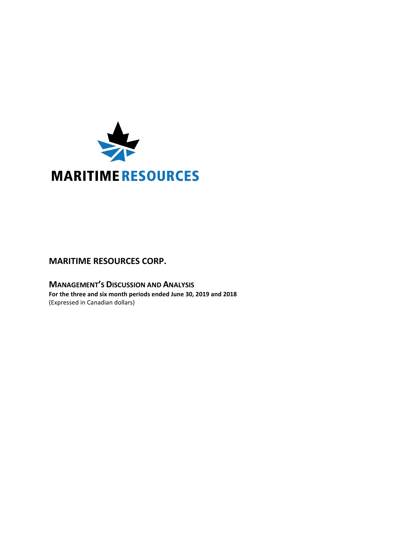

# **MARITIME RESOURCES CORP.**

**MANAGEMENT'S DISCUSSION AND ANALYSIS For the three and six month periods ended June 30, 2019 and 2018** (Expressed in Canadian dollars)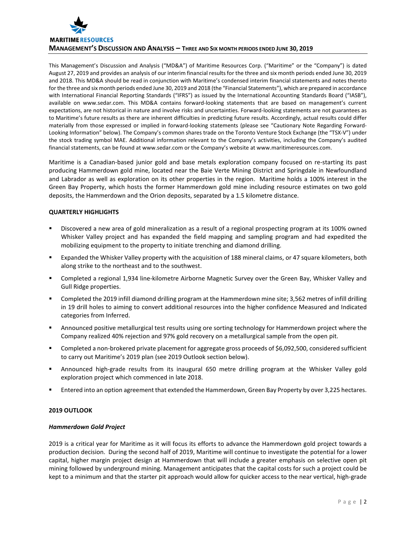

This Management's Discussion and Analysis ("MD&A") of Maritime Resources Corp. ("Maritime" or the "Company") is dated August 27, 2019 and provides an analysis of our interim financial results for the three and six month periods ended June 30, 2019 and 2018. This MD&A should be read in conjunction with Maritime's condensed interim financial statements and notes thereto for the three and six month periods ended June 30, 2019 and 2018 (the "Financial Statements"), which are prepared in accordance with International Financial Reporting Standards ("IFRS") as issued by the International Accounting Standards Board ("IASB"), available on www.sedar.com. This MD&A contains forward-looking statements that are based on management's current expectations, are not historical in nature and involve risks and uncertainties. Forward-looking statements are not guarantees as to Maritime's future results as there are inherent difficulties in predicting future results. Accordingly, actual results could differ materially from those expressed or implied in forward-looking statements (please see "Cautionary Note Regarding Forward-Looking Information" below). The Company's common shares trade on the Toronto Venture Stock Exchange (the "TSX-V") under the stock trading symbol MAE. Additional information relevant to the Company's activities, including the Company's audited financial statements, can be found at www.sedar.com or the Company's website at www.maritimeresources.com.

Maritime is a Canadian-based junior gold and base metals exploration company focused on re-starting its past producing Hammerdown gold mine, located near the Baie Verte Mining District and Springdale in Newfoundland and Labrador as well as exploration on its other properties in the region. Maritime holds a 100% interest in the Green Bay Property, which hosts the former Hammerdown gold mine including resource estimates on two gold deposits, the Hammerdown and the Orion deposits, separated by a 1.5 kilometre distance.

# **QUARTERLY HIGHLIGHTS**

- Discovered a new area of gold mineralization as a result of a regional prospecting program at its 100% owned Whisker Valley project and has expanded the field mapping and sampling program and had expedited the mobilizing equipment to the property to initiate trenching and diamond drilling.
- Expanded the Whisker Valley property with the acquisition of 188 mineral claims, or 47 square kilometers, both along strike to the northeast and to the southwest.
- Completed a regional 1,934 line-kilometre Airborne Magnetic Survey over the Green Bay, Whisker Valley and Gull Ridge properties.
- Completed the 2019 infill diamond drilling program at the Hammerdown mine site; 3,562 metres of infill drilling in 19 drill holes to aiming to convert additional resources into the higher confidence Measured and Indicated categories from Inferred.
- Announced positive metallurgical test results using ore sorting technology for Hammerdown project where the Company realized 40% rejection and 97% gold recovery on a metallurgical sample from the open pit.
- Completed a non-brokered private placement for aggregate gross proceeds of \$6,092,500, considered sufficient to carry out Maritime's 2019 plan (see 2019 Outlook section below).
- Announced high-grade results from its inaugural 650 metre drilling program at the Whisker Valley gold exploration project which commenced in late 2018.
- Entered into an option agreement that extended the Hammerdown, Green Bay Property by over 3,225 hectares.

# **2019 OUTLOOK**

# *Hammerdown Gold Project*

2019 is a critical year for Maritime as it will focus its efforts to advance the Hammerdown gold project towards a production decision. During the second half of 2019, Maritime will continue to investigate the potential for a lower capital, higher margin project design at Hammerdown that will include a greater emphasis on selective open pit mining followed by underground mining. Management anticipates that the capital costs for such a project could be kept to a minimum and that the starter pit approach would allow for quicker access to the near vertical, high-grade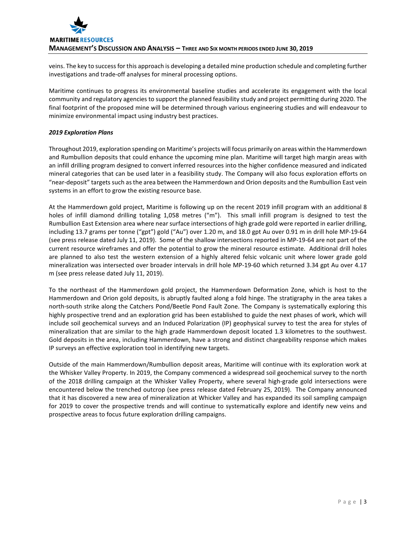veins. The key to success for this approach is developing a detailed mine production schedule and completing further investigations and trade-off analyses for mineral processing options.

Maritime continues to progress its environmental baseline studies and accelerate its engagement with the local community and regulatory agencies to support the planned feasibility study and project permitting during 2020. The final footprint of the proposed mine will be determined through various engineering studies and will endeavour to minimize environmental impact using industry best practices.

# *2019 Exploration Plans*

Throughout 2019, exploration spending on Maritime's projects will focus primarily on areas within the Hammerdown and Rumbullion deposits that could enhance the upcoming mine plan. Maritime will target high margin areas with an infill drilling program designed to convert inferred resources into the higher confidence measured and indicated mineral categories that can be used later in a feasibility study. The Company will also focus exploration efforts on "near-deposit" targets such as the area between the Hammerdown and Orion deposits and the Rumbullion East vein systems in an effort to grow the existing resource base.

At the Hammerdown gold project, Maritime is following up on the recent 2019 infill program with an additional 8 holes of infill diamond drilling totaling 1,058 metres ("m"). This small infill program is designed to test the Rumbullion East Extension area where near surface intersections of high grade gold were reported in earlier drilling, including 13.7 grams per tonne ("gpt") gold ("Au") over 1.20 m, and 18.0 gpt Au over 0.91 m in drill hole MP-19-64 (see press release dated July 11, 2019). Some of the shallow intersections reported in MP-19-64 are not part of the current resource wireframes and offer the potential to grow the mineral resource estimate. Additional drill holes are planned to also test the western extension of a highly altered felsic volcanic unit where lower grade gold mineralization was intersected over broader intervals in drill hole MP-19-60 which returned 3.34 gpt Au over 4.17 m (see press release dated July 11, 2019).

To the northeast of the Hammerdown gold project, the Hammerdown Deformation Zone, which is host to the Hammerdown and Orion gold deposits, is abruptly faulted along a fold hinge. The stratigraphy in the area takes a north-south strike along the Catchers Pond/Beetle Pond Fault Zone. The Company is systematically exploring this highly prospective trend and an exploration grid has been established to guide the next phases of work, which will include soil geochemical surveys and an Induced Polarization (IP) geophysical survey to test the area for styles of mineralization that are similar to the high grade Hammerdown deposit located 1.3 kilometres to the southwest. Gold deposits in the area, including Hammerdown, have a strong and distinct chargeability response which makes IP surveys an effective exploration tool in identifying new targets.

Outside of the main Hammerdown/Rumbullion deposit areas, Maritime will continue with its exploration work at the Whisker Valley Property. In 2019, the Company commenced a widespread soil geochemical survey to the north of the 2018 drilling campaign at the Whisker Valley Property, where several high-grade gold intersections were encountered below the trenched outcrop (see press release dated February 25, 2019). The Company announced that it has discovered a new area of mineralization at Whicker Valley and has expanded its soil sampling campaign for 2019 to cover the prospective trends and will continue to systematically explore and identify new veins and prospective areas to focus future exploration drilling campaigns.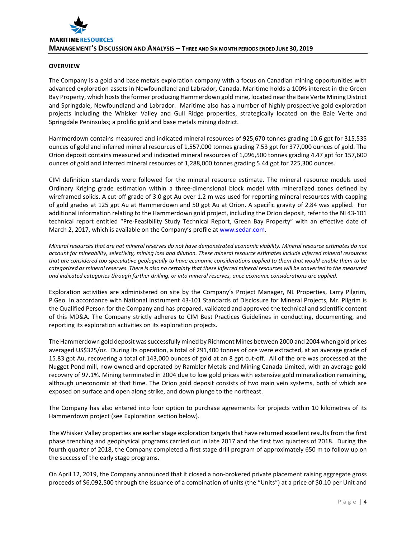# **OVERVIEW**

The Company is a gold and base metals exploration company with a focus on Canadian mining opportunities with advanced exploration assets in Newfoundland and Labrador, Canada. Maritime holds a 100% interest in the Green Bay Property, which hoststhe former producing Hammerdown gold mine, located near the Baie Verte Mining District and Springdale, Newfoundland and Labrador. Maritime also has a number of highly prospective gold exploration projects including the Whisker Valley and Gull Ridge properties, strategically located on the Baie Verte and Springdale Peninsulas; a prolific gold and base metals mining district.

Hammerdown contains measured and indicated mineral resources of 925,670 tonnes grading 10.6 gpt for 315,535 ounces of gold and inferred mineral resources of 1,557,000 tonnes grading 7.53 gpt for 377,000 ounces of gold. The Orion deposit contains measured and indicated mineral resources of 1,096,500 tonnes grading 4.47 gpt for 157,600 ounces of gold and inferred mineral resources of 1,288,000 tonnes grading 5.44 gpt for 225,300 ounces.

CIM definition standards were followed for the mineral resource estimate. The mineral resource models used Ordinary Kriging grade estimation within a three-dimensional block model with mineralized zones defined by wireframed solids. A cut-off grade of 3.0 gpt Au over 1.2 m was used for reporting mineral resources with capping of gold grades at 125 gpt Au at Hammerdown and 50 gpt Au at Orion. A specific gravity of 2.84 was applied. For additional information relating to the Hammerdown gold project, including the Orion deposit, refer to the NI 43-101 technical report entitled "Pre-Feasibility Study Technical Report, Green Bay Property" with an effective date of March 2, 2017, which is available on the Company's profile a[t www.sedar.com.](http://www.sedar.com/)

*Mineral resources that are not mineral reserves do not have demonstrated economic viability. Mineral resource estimates do not account for mineability, selectivity, mining loss and dilution. These mineral resource estimates include inferred mineral resources that are considered too speculative geologically to have economic considerations applied to them that would enable them to be categorized as mineral reserves. There is also no certainty that these inferred mineral resources will be converted to the measured and indicated categories through further drilling, or into mineral reserves, once economic considerations are applied.*

Exploration activities are administered on site by the Company's Project Manager, NL Properties, Larry Pilgrim, P.Geo. In accordance with National Instrument 43-101 Standards of Disclosure for Mineral Projects, Mr. Pilgrim is the Qualified Person for the Company and has prepared, validated and approved the technical and scientific content of this MD&A. The Company strictly adheres to CIM Best Practices Guidelines in conducting, documenting, and reporting its exploration activities on its exploration projects.

The Hammerdown gold deposit was successfully mined by Richmont Mines between 2000 and 2004 when gold prices averaged US\$325/oz. During its operation, a total of 291,400 tonnes of ore were extracted, at an average grade of 15.83 gpt Au, recovering a total of 143,000 ounces of gold at an 8 gpt cut-off. All of the ore was processed at the Nugget Pond mill, now owned and operated by Rambler Metals and Mining Canada Limited, with an average gold recovery of 97.1%. Mining terminated in 2004 due to low gold prices with extensive gold mineralization remaining, although uneconomic at that time. The Orion gold deposit consists of two main vein systems, both of which are exposed on surface and open along strike, and down plunge to the northeast.

The Company has also entered into four option to purchase agreements for projects within 10 kilometres of its Hammerdown project (see Exploration section below).

The Whisker Valley properties are earlier stage exploration targets that have returned excellent results from the first phase trenching and geophysical programs carried out in late 2017 and the first two quarters of 2018. During the fourth quarter of 2018, the Company completed a first stage drill program of approximately 650 m to follow up on the success of the early stage programs.

On April 12, 2019, the Company announced that it closed a non-brokered private placement raising aggregate gross proceeds of \$6,092,500 through the issuance of a combination of units (the "Units") at a price of \$0.10 per Unit and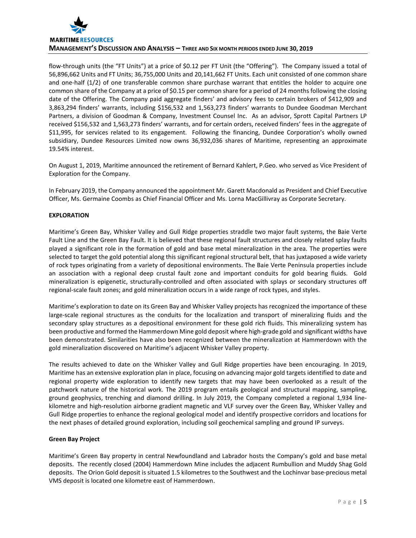

flow-through units (the "FT Units") at a price of \$0.12 per FT Unit (the "Offering"). The Company issued a total of 56,896,662 Units and FT Units; 36,755,000 Units and 20,141,662 FT Units. Each unit consisted of one common share and one-half (1/2) of one transferable common share purchase warrant that entitles the holder to acquire one common share of the Company at a price of \$0.15 per common share for a period of 24 months following the closing date of the Offering. The Company paid aggregate finders' and advisory fees to certain brokers of \$412,909 and 3,863,294 finders' warrants, including \$156,532 and 1,563,273 finders' warrants to Dundee Goodman Merchant Partners, a division of Goodman & Company, Investment Counsel Inc. As an advisor, Sprott Capital Partners LP received \$156,532 and 1,563,273 finders' warrants, and for certain orders, received finders' fees in the aggregate of \$11,995, for services related to its engagement. Following the financing, Dundee Corporation's wholly owned subsidiary, Dundee Resources Limited now owns 36,932,036 shares of Maritime, representing an approximate 19.54% interest.

On August 1, 2019, Maritime announced the retirement of Bernard Kahlert, P.Geo. who served as Vice President of Exploration for the Company.

In February 2019, the Company announced the appointment Mr. Garett Macdonald as President and Chief Executive Officer, Ms. Germaine Coombs as Chief Financial Officer and Ms. Lorna MacGillivray as Corporate Secretary.

# **EXPLORATION**

Maritime's Green Bay, Whisker Valley and Gull Ridge properties straddle two major fault systems, the Baie Verte Fault Line and the Green Bay Fault. It is believed that these regional fault structures and closely related splay faults played a significant role in the formation of gold and base metal mineralization in the area. The properties were selected to target the gold potential along this significant regional structural belt, that has juxtaposed a wide variety of rock types originating from a variety of depositional environments. The Baie Verte Peninsula properties include an association with a regional deep crustal fault zone and important conduits for gold bearing fluids. Gold mineralization is epigenetic, structurally-controlled and often associated with splays or secondary structures off regional-scale fault zones; and gold mineralization occurs in a wide range of rock types, and styles.

Maritime's exploration to date on its Green Bay and Whisker Valley projects has recognized the importance of these large-scale regional structures as the conduits for the localization and transport of mineralizing fluids and the secondary splay structures as a depositional environment for these gold rich fluids. This mineralizing system has been productive and formed the Hammerdown Mine gold deposit where high-grade gold and significant widths have been demonstrated. Similarities have also been recognized between the mineralization at Hammerdown with the gold mineralization discovered on Maritime's adjacent Whisker Valley property.

The results achieved to date on the Whisker Valley and Gull Ridge properties have been encouraging. In 2019, Maritime has an extensive exploration plan in place, focusing on advancing major gold targets identified to date and regional property wide exploration to identify new targets that may have been overlooked as a result of the patchwork nature of the historical work. The 2019 program entails geological and structural mapping, sampling, ground geophysics, trenching and diamond drilling. In July 2019, the Company completed a regional 1,934 linekilometre and high-resolution airborne gradient magnetic and VLF survey over the Green Bay, Whisker Valley and Gull Ridge properties to enhance the regional geological model and identify prospective corridors and locations for the next phases of detailed ground exploration, including soil geochemical sampling and ground IP surveys.

# **Green Bay Project**

Maritime's Green Bay property in central Newfoundland and Labrador hosts the Company's gold and base metal deposits. The recently closed (2004) Hammerdown Mine includes the adjacent Rumbullion and Muddy Shag Gold deposits. The Orion Gold deposit is situated 1.5 kilometres to the Southwest and the Lochinvar base-precious metal VMS deposit is located one kilometre east of Hammerdown.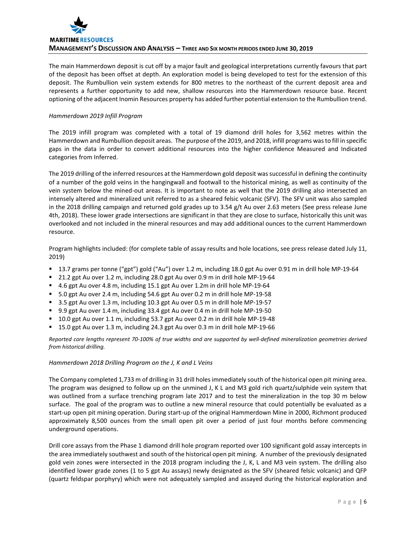

The main Hammerdown deposit is cut off by a major fault and geological interpretations currently favours that part of the deposit has been offset at depth. An exploration model is being developed to test for the extension of this deposit. The Rumbullion vein system extends for 800 metres to the northeast of the current deposit area and represents a further opportunity to add new, shallow resources into the Hammerdown resource base. Recent optioning of the adjacent Inomin Resources property has added further potential extension to the Rumbullion trend.

# *Hammerdown 2019 Infill Program*

The 2019 infill program was completed with a total of 19 diamond drill holes for 3,562 metres within the Hammerdown and Rumbullion deposit areas. The purpose of the 2019, and 2018, infill programs was to fill in specific gaps in the data in order to convert additional resources into the higher confidence Measured and Indicated categories from Inferred.

The 2019 drilling of the inferred resources at the Hammerdown gold deposit was successful in defining the continuity of a number of the gold veins in the hangingwall and footwall to the historical mining, as well as continuity of the vein system below the mined-out areas. It is important to note as well that the 2019 drilling also intersected an intensely altered and mineralized unit referred to as a sheared felsic volcanic (SFV). The SFV unit was also sampled in the 2018 drilling campaign and returned gold grades up to 3.54 g/t Au over 2.63 meters (See press release June 4th, 2018). These lower grade intersections are significant in that they are close to surface, historically this unit was overlooked and not included in the mineral resources and may add additional ounces to the current Hammerdown resource.

Program highlights included: (for complete table of assay results and hole locations, see press release dated July 11, 2019)

- 13.7 grams per tonne ("gpt") gold ("Au") over 1.2 m, including 18.0 gpt Au over 0.91 m in drill hole MP-19-64
- 21.2 gpt Au over 1.2 m, including 28.0 gpt Au over 0.9 m in drill hole MP-19-64
- 4.6 gpt Au over 4.8 m, including 15.1 gpt Au over 1.2m in drill hole MP-19-64
- 5.0 gpt Au over 2.4 m, including 54.6 gpt Au over 0.2 m in drill hole MP-19-58
- 3.5 gpt Au over 1.3 m, including 10.3 gpt Au over 0.5 m in drill hole MP-19-57
- 9.9 gpt Au over 1.4 m, including 33.4 gpt Au over 0.4 m in drill hole MP-19-50
- 10.0 gpt Au over 1.1 m, including 53.7 gpt Au over 0.2 m in drill hole MP-19-48
- 15.0 gpt Au over 1.3 m, including 24.3 gpt Au over 0.3 m in drill hole MP-19-66

*Reported core lengths represent 70-100% of true widths and are supported by well-defined mineralization geometries derived from historical drilling.*

# *Hammerdown 2018 Drilling Program on the J, K and L Veins*

The Company completed 1,733 m of drilling in 31 drill holes immediately south of the historical open pit mining area. The program was designed to follow up on the unmined J, K L and M3 gold rich quartz/sulphide vein system that was outlined from a surface trenching program late 2017 and to test the mineralization in the top 30 m below surface. The goal of the program was to outline a new mineral resource that could potentially be evaluated as a start-up open pit mining operation. During start-up of the original Hammerdown Mine in 2000, Richmont produced approximately 8,500 ounces from the small open pit over a period of just four months before commencing underground operations.

Drill core assays from the Phase 1 diamond drill hole program reported over 100 significant gold assay intercepts in the area immediately southwest and south of the historical open pit mining. A number of the previously designated gold vein zones were intersected in the 2018 program including the J, K, L and M3 vein system. The drilling also identified lower grade zones (1 to 5 gpt Au assays) newly designated as the SFV (sheared felsic volcanic) and QFP (quartz feldspar porphyry) which were not adequately sampled and assayed during the historical exploration and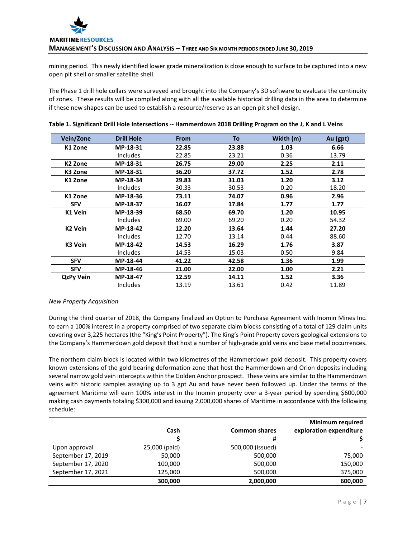mining period. This newly identified lower grade mineralization is close enough to surface to be captured into a new open pit shell or smaller satellite shell.

The Phase 1 drill hole collars were surveyed and brought into the Company's 3D software to evaluate the continuity of zones. These results will be compiled along with all the available historical drilling data in the area to determine if these new shapes can be used to establish a resource/reserve as an open pit shell design.

| Vein/Zone           | <b>Drill Hole</b> | <b>From</b> | To    | Width (m) | Au (gpt) |
|---------------------|-------------------|-------------|-------|-----------|----------|
| K1 Zone             | MP-18-31          | 22.85       | 23.88 | 1.03      | 6.66     |
|                     | <b>Includes</b>   | 22.85       | 23.21 | 0.36      | 13.79    |
| K <sub>2</sub> Zone | MP-18-31          | 26.75       | 29.00 | 2.25      | 2.11     |
| K3 Zone             | MP-18-31          | 36.20       | 37.72 | 1.52      | 2.78     |
| K1 Zone             | MP-18-34          | 29.83       | 31.03 | 1.20      | 3.12     |
|                     | Includes          | 30.33       | 30.53 | 0.20      | 18.20    |
| K1 Zone             | MP-18-36          | 73.11       | 74.07 | 0.96      | 2.96     |
| <b>SFV</b>          | MP-18-37          | 16.07       | 17.84 | 1.77      | 1.77     |
| K1 Vein             | MP-18-39          | 68.50       | 69.70 | 1.20      | 10.95    |
|                     | <b>Includes</b>   | 69.00       | 69.20 | 0.20      | 54.32    |
| K <sub>2</sub> Vein | MP-18-42          | 12.20       | 13.64 | 1.44      | 27.20    |
|                     | <b>Includes</b>   | 12.70       | 13.14 | 0.44      | 88.60    |
| K3 Vein             | MP-18-42          | 14.53       | 16.29 | 1.76      | 3.87     |
|                     | <b>Includes</b>   | 14.53       | 15.03 | 0.50      | 9.84     |
| <b>SFV</b>          | MP-18-44          | 41.22       | 42.58 | 1.36      | 1.99     |
| <b>SFV</b>          | MP-18-46          | 21.00       | 22.00 | 1.00      | 2.21     |
| <b>QzPy Vein</b>    | MP-18-47          | 12.59       | 14.11 | 1.52      | 3.36     |
|                     | Includes          | 13.19       | 13.61 | 0.42      | 11.89    |

| Table 1. Significant Drill Hole Intersections -- Hammerdown 2018 Drilling Program on the J, K and L Veins |  |  |
|-----------------------------------------------------------------------------------------------------------|--|--|
|-----------------------------------------------------------------------------------------------------------|--|--|

# *New Property Acquisition*

During the third quarter of 2018, the Company finalized an Option to Purchase Agreement with Inomin Mines Inc. to earn a 100% interest in a property comprised of two separate claim blocks consisting of a total of 129 claim units covering over 3,225 hectares (the "King's Point Property"). The King's Point Property covers geological extensions to the Company's Hammerdown gold deposit that host a number of high-grade gold veins and base metal occurrences.

The northern claim block is located within two kilometres of the Hammerdown gold deposit. This property covers known extensions of the gold bearing deformation zone that host the Hammerdown and Orion deposits including several narrow gold vein intercepts within the Golden Anchor prospect. These veins are similar to the Hammerdown veins with historic samples assaying up to 3 gpt Au and have never been followed up. Under the terms of the agreement Maritime will earn 100% interest in the Inomin property over a 3-year period by spending \$600,000 making cash payments totaling \$300,000 and issuing 2,000,000 shares of Maritime in accordance with the following schedule:

|                    |               |                      | <b>Minimum required</b> |
|--------------------|---------------|----------------------|-------------------------|
|                    | Cash          | <b>Common shares</b> | exploration expenditure |
|                    |               | #                    |                         |
| Upon approval      | 25,000 (paid) | 500,000 (issued)     |                         |
| September 17, 2019 | 50,000        | 500,000              | 75,000                  |
| September 17, 2020 | 100,000       | 500,000              | 150,000                 |
| September 17, 2021 | 125,000       | 500,000              | 375,000                 |
|                    | 300,000       | 2,000,000            | 600,000                 |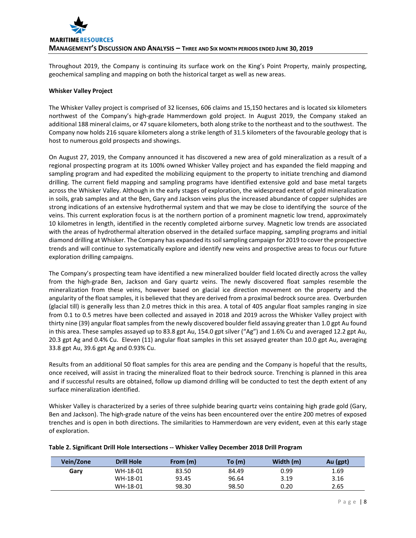

Throughout 2019, the Company is continuing its surface work on the King's Point Property, mainly prospecting, geochemical sampling and mapping on both the historical target as well as new areas.

### **Whisker Valley Project**

The Whisker Valley project is comprised of 32 licenses, 606 claims and 15,150 hectares and is located six kilometers northwest of the Company's high-grade Hammerdown gold project. In August 2019, the Company staked an additional 188 mineral claims, or 47 square kilometers, both along strike to the northeast and to the southwest. The Company now holds 216 square kilometers along a strike length of 31.5 kilometers of the favourable geology that is host to numerous gold prospects and showings.

On August 27, 2019, the Company announced it has discovered a new area of gold mineralization as a result of a regional prospecting program at its 100% owned Whisker Valley project and has expanded the field mapping and sampling program and had expedited the mobilizing equipment to the property to initiate trenching and diamond drilling. The current field mapping and sampling programs have identified extensive gold and base metal targets across the Whisker Valley. Although in the early stages of exploration, the widespread extent of gold mineralization in soils, grab samples and at the Ben, Gary and Jackson veins plus the increased abundance of copper sulphides are strong indications of an extensive hydrothermal system and that we may be close to identifying the source of the veins. This current exploration focus is at the northern portion of a prominent magnetic low trend, approximately 10 kilometres in length, identified in the recently completed airborne survey. Magnetic low trends are associated with the areas of hydrothermal alteration observed in the detailed surface mapping, sampling programs and initial diamond drilling at Whisker. The Company has expanded its soil sampling campaign for 2019 to cover the prospective trends and will continue to systematically explore and identify new veins and prospective areas to focus our future exploration drilling campaigns.

The Company's prospecting team have identified a new mineralized boulder field located directly across the valley from the high-grade Ben, Jackson and Gary quartz veins. The newly discovered float samples resemble the mineralization from these veins, however based on glacial ice direction movement on the property and the angularity of the float samples, it is believed that they are derived from a proximal bedrock source area. Overburden (glacial till) is generally less than 2.0 metres thick in this area. A total of 405 angular float samples ranging in size from 0.1 to 0.5 metres have been collected and assayed in 2018 and 2019 across the Whisker Valley project with thirty nine (39) angular float samples from the newly discovered boulder field assaying greater than 1.0 gpt Au found in this area. These samples assayed up to 83.8 gpt Au, 154.0 gpt silver ("Ag") and 1.6% Cu and averaged 12.2 gpt Au, 20.3 gpt Ag and 0.4% Cu. Eleven (11) angular float samples in this set assayed greater than 10.0 gpt Au, averaging 33.8 gpt Au, 39.6 gpt Ag and 0.93% Cu.

Results from an additional 50 float samples for this area are pending and the Company is hopeful that the results, once received, will assist in tracing the mineralized float to their bedrock source. Trenching is planned in this area and if successful results are obtained, follow up diamond drilling will be conducted to test the depth extent of any surface mineralization identified.

Whisker Valley is characterized by a series of three sulphide bearing quartz veins containing high grade gold (Gary, Ben and Jackson). The high-grade nature of the veins has been encountered over the entire 200 metres of exposed trenches and is open in both directions. The similarities to Hammerdown are very evident, even at this early stage of exploration.

| Vein/Zone | <b>Drill Hole</b> | From (m) | To(m) | Width (m) | Au (gpt) |
|-----------|-------------------|----------|-------|-----------|----------|
| Garv      | WH-18-01          | 83.50    | 84.49 | 0.99      | 1.69     |
|           | WH-18-01          | 93.45    | 96.64 | 3.19      | 3.16     |
|           | WH-18-01          | 98.30    | 98.50 | 0.20      | 2.65     |

# **Table 2. Significant Drill Hole Intersections -- Whisker Valley December 2018 Drill Program**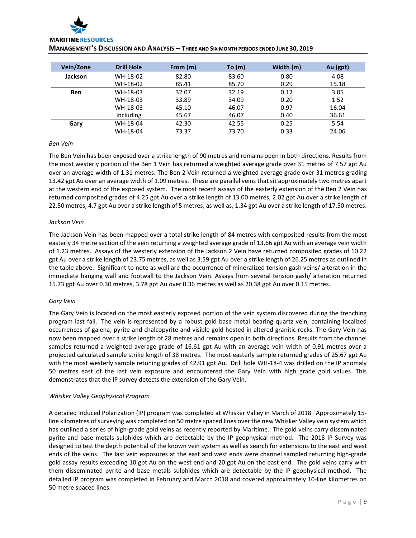

| Vein/Zone  | <b>Drill Hole</b> | From (m) | To $(m)$ | Width (m) | Au (gpt) |
|------------|-------------------|----------|----------|-----------|----------|
| Jackson    | WH-18-02          | 82.80    | 83.60    | 0.80      | 4.08     |
|            | WH-18-02          | 85.41    | 85.70    | 0.29      | 15.18    |
| <b>Ben</b> | WH-18-03          | 32.07    | 32.19    | 0.12      | 3.05     |
|            | WH-18-03          | 33.89    | 34.09    | 0.20      | 1.52     |
|            | WH-18-03          | 45.10    | 46.07    | 0.97      | 16.04    |
|            | Including         | 45.67    | 46.07    | 0.40      | 36.61    |
| Gary       | WH-18-04          | 42.30    | 42.55    | 0.25      | 5.54     |
|            | WH-18-04          | 73.37    | 73.70    | 0.33      | 24.06    |

#### *Ben Vein*

The Ben Vein has been exposed over a strike length of 90 metres and remains open in both directions. Results from the most westerly portion of the Ben 1 Vein has returned a weighted average grade over 31 metres of 7.57 gpt Au over an average width of 1.31 metres. The Ben 2 Vein returned a weighted average grade over 31 metres grading 13.42 gpt Au over an average width of 1.09 metres. These are parallel veins that sit approximately two metres apart at the western end of the exposed system. The most recent assays of the easterly extension of the Ben 2 Vein has returned composited grades of 4.25 gpt Au over a strike length of 13.00 metres, 2.02 gpt Au over a strike length of 22.50 metres, 4.7 gpt Au over a strike length of 5 metres, as well as, 1.34 gpt Au over a strike length of 17.50 metres.

# *Jackson Vein*

The Jackson Vein has been mapped over a total strike length of 84 metres with composited results from the most easterly 34 metre section of the vein returning a weighted average grade of 13.66 gpt Au with an average vein width of 1.23 metres. Assays of the westerly extension of the Jackson 2 Vein have returned composited grades of 10.22 gpt Au over a strike length of 23.75 metres, as well as 3.59 gpt Au over a strike length of 26.25 metres as outlined in the table above. Significant to note as well are the occurrence of mineralized tension gash veins/ alteration in the immediate hanging wall and footwall to the Jackson Vein. Assays from several tension gash/ alteration returned 15.73 gpt Au over 0.30 metres, 3.78 gpt Au over 0.36 metres as well as 20.38 gpt Au over 0.15 metres.

# *Gary Vein*

The Gary Vein is located on the most easterly exposed portion of the vein system discovered during the trenching program last fall. The vein is represented by a robust gold base metal bearing quartz vein, containing localized occurrences of galena, pyrite and chalcopyrite and visible gold hosted in altered granitic rocks. The Gary Vein has now been mapped over a strike length of 28 metres and remains open in both directions. Results from the channel samples returned a weighted average grade of 16.61 gpt Au with an average vein width of 0.91 metres over a projected calculated sample strike length of 38 metres. The most easterly sample returned grades of 25.67 gpt Au with the most westerly sample retuning grades of 42.91 gpt Au. Drill hole WH-18-4 was drilled on the IP anomaly 50 metres east of the last vein exposure and encountered the Gary Vein with high grade gold values. This demonstrates that the IP survey detects the extension of the Gary Vein.

# *Whisker Valley Geophysical Program*

A detailed Induced Polarization (IP) program was completed at Whisker Valley in March of 2018. Approximately 15 line kilometres of surveying was completed on 50 metre spaced lines over the new Whisker Valley vein system which has outlined a series of high-grade gold veins as recently reported by Maritime. The gold veins carry disseminated pyrite and base metals sulphides which are detectable by the IP geophysical method. The 2018 IP Survey was designed to test the depth potential of the known vein system as well as search for extensions to the east and west ends of the veins. The last vein exposures at the east and west ends were channel sampled returning high-grade gold assay results exceeding 10 gpt Au on the west end and 20 gpt Au on the east end. The gold veins carry with them disseminated pyrite and base metals sulphides which are detectable by the IP geophysical method. The detailed IP program was completed in February and March 2018 and covered approximately 10-line kilometres on 50 metre spaced lines.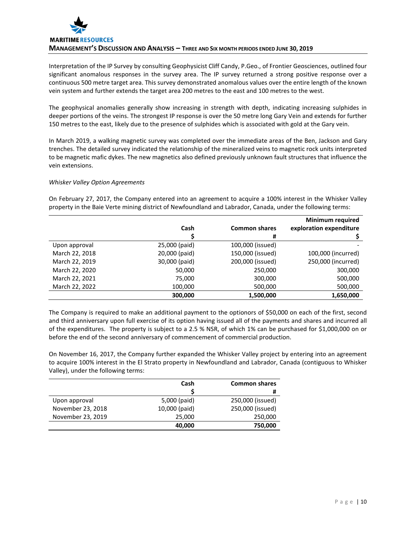

Interpretation of the IP Survey by consulting Geophysicist Cliff Candy, P.Geo., of Frontier Geosciences, outlined four significant anomalous responses in the survey area. The IP survey returned a strong positive response over a continuous 500 metre target area. This survey demonstrated anomalous values over the entire length of the known vein system and further extends the target area 200 metres to the east and 100 metres to the west.

The geophysical anomalies generally show increasing in strength with depth, indicating increasing sulphides in deeper portions of the veins. The strongest IP response is over the 50 metre long Gary Vein and extends for further 150 metres to the east, likely due to the presence of sulphides which is associated with gold at the Gary vein.

In March 2019, a walking magnetic survey was completed over the immediate areas of the Ben, Jackson and Gary trenches. The detailed survey indicated the relationship of the mineralized veins to magnetic rock units interpreted to be magnetic mafic dykes. The new magnetics also defined previously unknown fault structures that influence the vein extensions.

# *Whisker Valley Option Agreements*

On February 27, 2017, the Company entered into an agreement to acquire a 100% interest in the Whisker Valley property in the Baie Verte mining district of Newfoundland and Labrador, Canada, under the following terms:

|                |               |                      | <b>Minimum required</b> |
|----------------|---------------|----------------------|-------------------------|
|                | Cash          | <b>Common shares</b> | exploration expenditure |
|                |               | #                    |                         |
| Upon approval  | 25,000 (paid) | 100,000 (issued)     |                         |
| March 22, 2018 | 20,000 (paid) | 150,000 (issued)     | 100,000 (incurred)      |
| March 22, 2019 | 30,000 (paid) | 200,000 (issued)     | 250,000 (incurred)      |
| March 22, 2020 | 50,000        | 250,000              | 300,000                 |
| March 22, 2021 | 75,000        | 300,000              | 500,000                 |
| March 22, 2022 | 100,000       | 500,000              | 500,000                 |
|                | 300,000       | 1,500,000            | 1,650,000               |

The Company is required to make an additional payment to the optionors of \$50,000 on each of the first, second and third anniversary upon full exercise of its option having issued all of the payments and shares and incurred all of the expenditures. The property is subject to a 2.5 % NSR, of which 1% can be purchased for \$1,000,000 on or before the end of the second anniversary of commencement of commercial production.

On November 16, 2017, the Company further expanded the Whisker Valley project by entering into an agreement to acquire 100% interest in the El Strato property in Newfoundland and Labrador, Canada (contiguous to Whisker Valley), under the following terms:

|                   | Cash          | <b>Common shares</b> |
|-------------------|---------------|----------------------|
|                   |               | #                    |
| Upon approval     | 5,000 (paid)  | 250,000 (issued)     |
| November 23, 2018 | 10,000 (paid) | 250,000 (issued)     |
| November 23, 2019 | 25,000        | 250,000              |
|                   | 40,000        | 750,000              |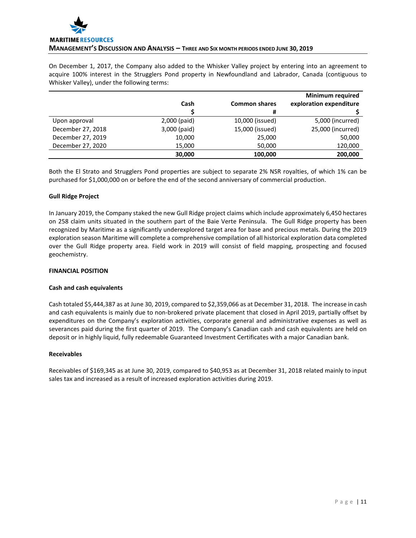

On December 1, 2017, the Company also added to the Whisker Valley project by entering into an agreement to acquire 100% interest in the Strugglers Pond property in Newfoundland and Labrador, Canada (contiguous to Whisker Valley), under the following terms:

|                   |              |                      | <b>Minimum required</b> |
|-------------------|--------------|----------------------|-------------------------|
|                   | Cash         | <b>Common shares</b> | exploration expenditure |
|                   |              | #                    |                         |
| Upon approval     | 2,000 (paid) | 10,000 (issued)      | 5,000 (incurred)        |
| December 27, 2018 | 3,000 (paid) | 15,000 (issued)      | 25,000 (incurred)       |
| December 27, 2019 | 10,000       | 25,000               | 50,000                  |
| December 27, 2020 | 15,000       | 50,000               | 120,000                 |
|                   | 30,000       | 100,000              | 200,000                 |

Both the El Strato and Strugglers Pond properties are subject to separate 2% NSR royalties, of which 1% can be purchased for \$1,000,000 on or before the end of the second anniversary of commercial production.

# **Gull Ridge Project**

In January 2019, the Company staked the new Gull Ridge project claims which include approximately 6,450 hectares on 258 claim units situated in the southern part of the Baie Verte Peninsula. The Gull Ridge property has been recognized by Maritime as a significantly underexplored target area for base and precious metals. During the 2019 exploration season Maritime will complete a comprehensive compilation of all historical exploration data completed over the Gull Ridge property area. Field work in 2019 will consist of field mapping, prospecting and focused geochemistry.

# **FINANCIAL POSITION**

# **Cash and cash equivalents**

Cash totaled \$5,444,387 as at June 30, 2019, compared to \$2,359,066 as at December 31, 2018. The increase in cash and cash equivalents is mainly due to non-brokered private placement that closed in April 2019, partially offset by expenditures on the Company's exploration activities, corporate general and administrative expenses as well as severances paid during the first quarter of 2019. The Company's Canadian cash and cash equivalents are held on deposit or in highly liquid, fully redeemable Guaranteed Investment Certificates with a major Canadian bank.

# **Receivables**

Receivables of \$169,345 as at June 30, 2019, compared to \$40,953 as at December 31, 2018 related mainly to input sales tax and increased as a result of increased exploration activities during 2019.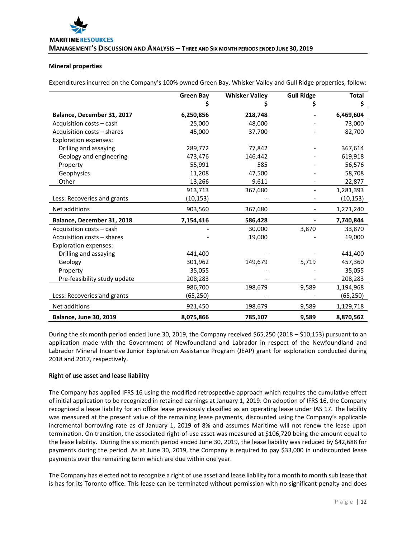## **Mineral properties**

Expenditures incurred on the Company's 100% owned Green Bay, Whisker Valley and Gull Ridge properties, follow:

|                               | <b>Green Bay</b> | <b>Whisker Valley</b> | <b>Gull Ridge</b> | <b>Total</b> |
|-------------------------------|------------------|-----------------------|-------------------|--------------|
|                               |                  |                       | Ş                 | Ş            |
| Balance, December 31, 2017    | 6,250,856        | 218,748               |                   | 6,469,604    |
| Acquisition costs - cash      | 25,000           | 48,000                |                   | 73,000       |
| Acquisition costs - shares    | 45,000           | 37,700                |                   | 82,700       |
| <b>Exploration expenses:</b>  |                  |                       |                   |              |
| Drilling and assaying         | 289,772          | 77,842                |                   | 367,614      |
| Geology and engineering       | 473,476          | 146,442               |                   | 619,918      |
| Property                      | 55,991           | 585                   |                   | 56,576       |
| Geophysics                    | 11,208           | 47,500                |                   | 58,708       |
| Other                         | 13,266           | 9,611                 |                   | 22,877       |
|                               | 913,713          | 367,680               |                   | 1,281,393    |
| Less: Recoveries and grants   | (10, 153)        |                       |                   | (10, 153)    |
| Net additions                 | 903,560          | 367,680               |                   | 1,271,240    |
| Balance, December 31, 2018    | 7,154,416        | 586,428               |                   | 7,740,844    |
| Acquisition costs - cash      |                  | 30,000                | 3,870             | 33,870       |
| Acquisition costs - shares    |                  | 19,000                |                   | 19,000       |
| <b>Exploration expenses:</b>  |                  |                       |                   |              |
| Drilling and assaying         | 441,400          |                       |                   | 441,400      |
| Geology                       | 301,962          | 149,679               | 5,719             | 457,360      |
| Property                      | 35,055           |                       |                   | 35,055       |
| Pre-feasibility study update  | 208,283          |                       |                   | 208,283      |
|                               | 986,700          | 198,679               | 9,589             | 1,194,968    |
| Less: Recoveries and grants   | (65,250)         |                       |                   | (65,250)     |
| Net additions                 | 921,450          | 198,679               | 9,589             | 1,129,718    |
| <b>Balance, June 30, 2019</b> | 8,075,866        | 785,107               | 9,589             | 8,870,562    |

During the six month period ended June 30, 2019, the Company received \$65,250 (2018 – \$10,153) pursuant to an application made with the Government of Newfoundland and Labrador in respect of the Newfoundland and Labrador Mineral Incentive Junior Exploration Assistance Program (JEAP) grant for exploration conducted during 2018 and 2017, respectively.

# **Right of use asset and lease liability**

The Company has applied IFRS 16 using the modified retrospective approach which requires the cumulative effect of initial application to be recognized in retained earnings at January 1, 2019. On adoption of IFRS 16, the Company recognized a lease liability for an office lease previously classified as an operating lease under IAS 17. The liability was measured at the present value of the remaining lease payments, discounted using the Company's applicable incremental borrowing rate as of January 1, 2019 of 8% and assumes Maritime will not renew the lease upon termination. On transition, the associated right-of-use asset was measured at \$106,720 being the amount equal to the lease liability. During the six month period ended June 30, 2019, the lease liability was reduced by \$42,688 for payments during the period. As at June 30, 2019, the Company is required to pay \$33,000 in undiscounted lease payments over the remaining term which are due within one year.

The Company has elected not to recognize a right of use asset and lease liability for a month to month sub lease that is has for its Toronto office. This lease can be terminated without permission with no significant penalty and does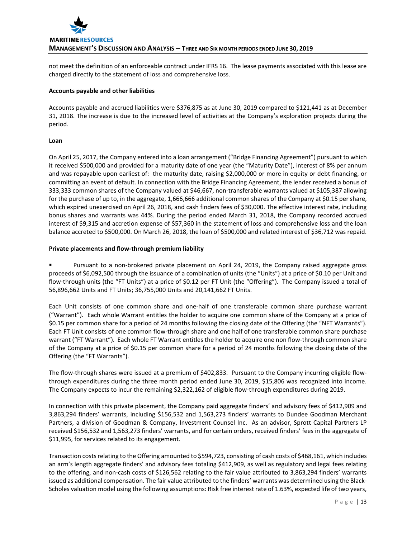

not meet the definition of an enforceable contract under IFRS 16. The lease payments associated with this lease are charged directly to the statement of loss and comprehensive loss.

### **Accounts payable and other liabilities**

Accounts payable and accrued liabilities were \$376,875 as at June 30, 2019 compared to \$121,441 as at December 31, 2018. The increase is due to the increased level of activities at the Company's exploration projects during the period.

# **Loan**

On April 25, 2017, the Company entered into a loan arrangement ("Bridge Financing Agreement") pursuant to which it received \$500,000 and provided for a maturity date of one year (the "Maturity Date"), interest of 8% per annum and was repayable upon earliest of: the maturity date, raising \$2,000,000 or more in equity or debt financing, or committing an event of default. In connection with the Bridge Financing Agreement, the lender received a bonus of 333,333 common shares of the Company valued at \$46,667, non-transferable warrants valued at \$105,387 allowing for the purchase of up to, in the aggregate, 1,666,666 additional common shares of the Company at \$0.15 per share, which expired unexercised on April 26, 2018, and cash finders fees of \$30,000. The effective interest rate, including bonus shares and warrants was 44%. During the period ended March 31, 2018, the Company recorded accrued interest of \$9,315 and accretion expense of \$57,360 in the statement of loss and comprehensive loss and the loan balance accreted to \$500,000. On March 26, 2018, the loan of \$500,000 and related interest of \$36,712 was repaid.

# **Private placements and flow-through premium liability**

 Pursuant to a non-brokered private placement on April 24, 2019, the Company raised aggregate gross proceeds of \$6,092,500 through the issuance of a combination of units (the "Units") at a price of \$0.10 per Unit and flow-through units (the "FT Units") at a price of \$0.12 per FT Unit (the "Offering"). The Company issued a total of 56,896,662 Units and FT Units; 36,755,000 Units and 20,141,662 FT Units.

Each Unit consists of one common share and one-half of one transferable common share purchase warrant ("Warrant"). Each whole Warrant entitles the holder to acquire one common share of the Company at a price of \$0.15 per common share for a period of 24 months following the closing date of the Offering (the "NFT Warrants"). Each FT Unit consists of one common flow-through share and one half of one transferable common share purchase warrant ("FT Warrant"). Each whole FT Warrant entitles the holder to acquire one non flow-through common share of the Company at a price of \$0.15 per common share for a period of 24 months following the closing date of the Offering (the "FT Warrants").

The flow-through shares were issued at a premium of \$402,833. Pursuant to the Company incurring eligible flowthrough expenditures during the three month period ended June 30, 2019, \$15,806 was recognized into income. The Company expects to incur the remaining \$2,322,162 of eligible flow-through expenditures during 2019.

In connection with this private placement, the Company paid aggregate finders' and advisory fees of \$412,909 and 3,863,294 finders' warrants, including \$156,532 and 1,563,273 finders' warrants to Dundee Goodman Merchant Partners, a division of Goodman & Company, Investment Counsel Inc. As an advisor, Sprott Capital Partners LP received \$156,532 and 1,563,273 finders' warrants, and for certain orders, received finders' fees in the aggregate of \$11,995, for services related to its engagement.

Transaction costs relating to the Offering amounted to \$594,723, consisting of cash costs of \$468,161, which includes an arm's length aggregate finders' and advisory fees totaling \$412,909, as well as regulatory and legal fees relating to the offering, and non-cash costs of \$126,562 relating to the fair value attributed to 3,863,294 finders' warrants issued as additional compensation. The fair value attributed to the finders' warrants was determined using the Black-Scholes valuation model using the following assumptions: Risk free interest rate of 1.63%, expected life of two years,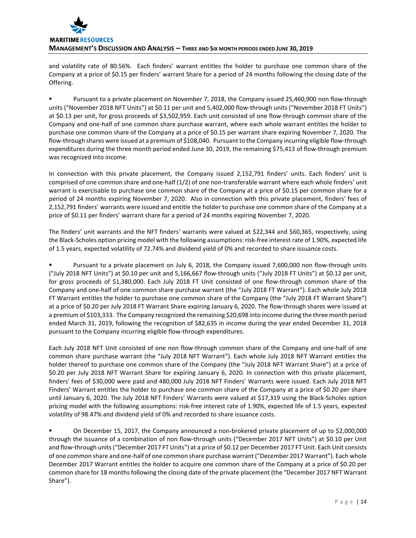

and volatility rate of 80.56%. Each finders' warrant entitles the holder to purchase one common share of the Company at a price of \$0.15 per finders' warrant Share for a period of 24 months following the closing date of the Offering.

 Pursuant to a private placement on November 7, 2018, the Company issued 25,460,900 non flow-through units ("November 2018 NFT Units") at \$0.11 per unit and 5,402,000 flow-through units ("November 2018 FT Units") at \$0.13 per unit, for gross proceeds of \$3,502,959. Each unit consisted of one flow-through common share of the Company and one-half of one common share purchase warrant, where each whole warrant entitles the holder to purchase one common share of the Company at a price of \$0.15 per warrant share expiring November 7, 2020. The flow-through shares were issued at a premium of \$108,040. Pursuant to the Company incurring eligible flow-through expenditures during the three month period ended June 30, 2019, the remaining \$75,413 of flow-through premium was recognized into income.

In connection with this private placement, the Company issued 2,152,791 finders' units. Each finders' unit is comprised of one common share and one-half (1/2) of one non-transferable warrant where each whole finders' unit warrant is exercisable to purchase one common share of the Company at a price of \$0.15 per common share for a period of 24 months expiring November 7, 2020. Also in connection with this private placement, finders' fees of 2,152,791 finders' warrants were issued and entitle the holder to purchase one common share of the Company at a price of \$0.11 per finders' warrant share for a period of 24 months expiring November 7, 2020.

The finders' unit warrants and the NFT finders' warrants were valued at \$22,344 and \$60,365, respectively, using the Black-Scholes option pricing model with the following assumptions: risk-free interest rate of 1.90%, expected life of 1.5 years, expected volatility of 72.74% and dividend yield of 0% and recorded to share issuance costs.

 Pursuant to a private placement on July 6, 2018, the Company issued 7,600,000 non flow-through units ("July 2018 NFT Units") at \$0.10 per unit and 5,166,667 flow-through units ("July 2018 FT Units") at \$0.12 per unit, for gross proceeds of \$1,380,000. Each July 2018 FT Unit consisted of one flow-through common share of the Company and one-half of one common share purchase warrant (the "July 2018 FT Warrant"). Each whole July 2018 FT Warrant entitles the holder to purchase one common share of the Company (the "July 2018 FT Warrant Share") at a price of \$0.20 per July 2018 FT Warrant Share expiring January 6, 2020. The flow-through shares were issued at a premium of \$103,333. The Company recognized the remaining \$20,698 into income during the three month period ended March 31, 2019, following the recognition of \$82,635 in income during the year ended December 31, 2018 pursuant to the Company incurring eligible flow-through expenditures.

Each July 2018 NFT Unit consisted of one non flow-through common share of the Company and one-half of one common share purchase warrant (the "July 2018 NFT Warrant"). Each whole July 2018 NFT Warrant entitles the holder thereof to purchase one common share of the Company (the "July 2018 NFT Warrant Share") at a price of \$0.20 per July 2018 NFT Warrant Share for expiring January 6, 2020. In connection with this private placement, finders' fees of \$30,000 were paid and 480,000 July 2018 NFT Finders' Warrants were issued. Each July 2018 NFT Finders' Warrant entitles the holder to purchase one common share of the Company at a price of \$0.20 per share until January 6, 2020. The July 2018 NFT Finders' Warrants were valued at \$17,319 using the Black-Scholes option pricing model with the following assumptions: risk-free interest rate of 1.90%, expected life of 1.5 years, expected volatility of 98.47% and dividend yield of 0% and recorded to share issuance costs.

 On December 15, 2017, the Company announced a non-brokered private placement of up to \$2,000,000 through the issuance of a combination of non flow-through units ("December 2017 NFT Units") at \$0.10 per Unit and flow-through units ("December 2017 FT Units") at a price of \$0.12 per December 2017 FT Unit. Each Unit consists of one common share and one-half of one common share purchase warrant ("December 2017 Warrant"). Each whole December 2017 Warrant entitles the holder to acquire one common share of the Company at a price of \$0.20 per common share for 18 months following the closing date of the private placement (the "December 2017 NFT Warrant Share").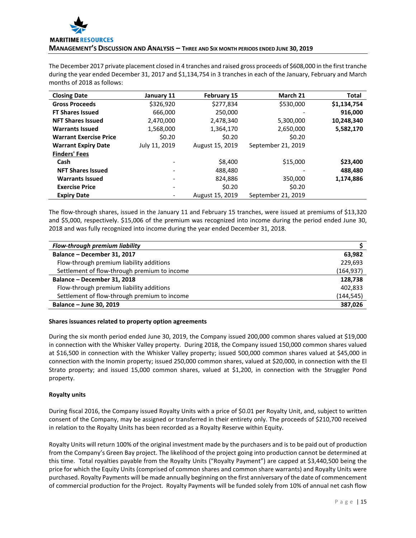

The December 2017 private placement closed in 4 tranches and raised gross proceeds of \$608,000 in the first tranche during the year ended December 31, 2017 and \$1,134,754 in 3 tranches in each of the January, February and March months of 2018 as follows:

| <b>Closing Date</b>           | January 11    | <b>February 15</b> | March 21           | Total       |
|-------------------------------|---------------|--------------------|--------------------|-------------|
| <b>Gross Proceeds</b>         | \$326,920     | \$277,834          | \$530,000          | \$1,134,754 |
| <b>FT Shares Issued</b>       | 666.000       | 250,000            |                    | 916,000     |
| <b>NFT Shares Issued</b>      | 2,470,000     | 2,478,340          | 5,300,000          | 10,248,340  |
| <b>Warrants Issued</b>        | 1,568,000     | 1,364,170          | 2,650,000          | 5,582,170   |
| <b>Warrant Exercise Price</b> | \$0.20        | \$0.20             | \$0.20             |             |
| <b>Warrant Expiry Date</b>    | July 11, 2019 | August 15, 2019    | September 21, 2019 |             |
| <b>Finders' Fees</b>          |               |                    |                    |             |
| Cash                          |               | \$8,400            | \$15,000           | \$23,400    |
| <b>NFT Shares Issued</b>      |               | 488,480            |                    | 488,480     |
| <b>Warrants Issued</b>        |               | 824,886            | 350,000            | 1,174,886   |
| <b>Exercise Price</b>         |               | \$0.20             | \$0.20             |             |
| <b>Expiry Date</b>            |               | August 15, 2019    | September 21, 2019 |             |

The flow-through shares, issued in the January 11 and February 15 tranches, were issued at premiums of \$13,320 and \$5,000, respectively. \$15,006 of the premium was recognized into income during the period ended June 30, 2018 and was fully recognized into income during the year ended December 31, 2018.

| Flow-through premium liability               |            |
|----------------------------------------------|------------|
| Balance - December 31, 2017                  | 63,982     |
| Flow-through premium liability additions     | 229.693    |
| Settlement of flow-through premium to income | (164, 937) |
| Balance - December 31, 2018                  | 128,738    |
| Flow-through premium liability additions     | 402,833    |
| Settlement of flow-through premium to income | (144, 545) |
| Balance - June 30, 2019                      | 387,026    |

# **Shares issuances related to property option agreements**

During the six month period ended June 30, 2019, the Company issued 200,000 common shares valued at \$19,000 in connection with the Whisker Valley property. During 2018, the Company issued 150,000 common shares valued at \$16,500 in connection with the Whisker Valley property; issued 500,000 common shares valued at \$45,000 in connection with the Inomin property; issued 250,000 common shares, valued at \$20,000, in connection with the El Strato property; and issued 15,000 common shares, valued at \$1,200, in connection with the Struggler Pond property.

# **Royalty units**

During fiscal 2016, the Company issued Royalty Units with a price of \$0.01 per Royalty Unit, and, subject to written consent of the Company, may be assigned or transferred in their entirety only. The proceeds of \$210,700 received in relation to the Royalty Units has been recorded as a Royalty Reserve within Equity.

Royalty Units will return 100% of the original investment made by the purchasers and is to be paid out of production from the Company's Green Bay project. The likelihood of the project going into production cannot be determined at this time. Total royalties payable from the Royalty Units ("Royalty Payment") are capped at \$3,440,500 being the price for which the Equity Units (comprised of common shares and common share warrants) and Royalty Units were purchased. Royalty Payments will be made annually beginning on the first anniversary of the date of commencement of commercial production for the Project. Royalty Payments will be funded solely from 10% of annual net cash flow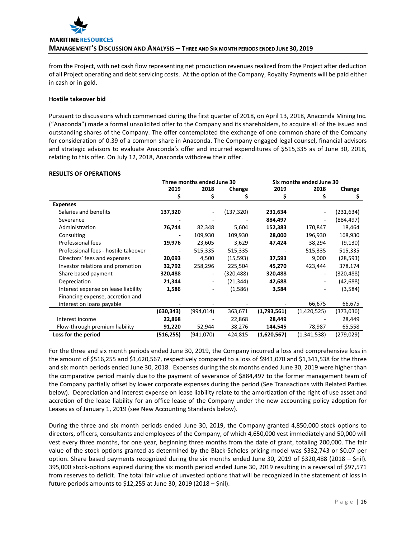

from the Project, with net cash flow representing net production revenues realized from the Project after deduction of all Project operating and debt servicing costs. At the option of the Company, Royalty Payments will be paid either in cash or in gold.

# **Hostile takeover bid**

Pursuant to discussions which commenced during the first quarter of 2018, on April 13, 2018, Anaconda Mining Inc. ("Anaconda") made a formal unsolicited offer to the Company and its shareholders, to acquire all of the issued and outstanding shares of the Company. The offer contemplated the exchange of one common share of the Company for consideration of 0.39 of a common share in Anaconda. The Company engaged legal counsel, financial advisors and strategic advisors to evaluate Anaconda's offer and incurred expenditures of \$515,335 as of June 30, 2018, relating to this offer. On July 12, 2018, Anaconda withdrew their offer.

# **RESULTS OF OPERATIONS**

|                                      | Three months ended June 30 |            | Six months ended June 30 |                              |                |            |
|--------------------------------------|----------------------------|------------|--------------------------|------------------------------|----------------|------------|
|                                      | 2019                       | 2018       | Change                   | 2019                         | 2018           | Change     |
|                                      | \$                         | \$         | S                        | S                            | S              | \$         |
| <b>Expenses</b>                      |                            |            |                          |                              |                |            |
| Salaries and benefits                | 137,320                    |            | (137, 320)               | 231,634                      |                | (231,634)  |
| Severance                            |                            |            |                          | 884,497                      |                | (884, 497) |
| Administration                       | 76,744                     | 82,348     | 5,604                    | 152,383                      | 170,847        | 18,464     |
| Consulting                           |                            | 109,930    | 109,930                  | 28,000                       | 196,930        | 168,930    |
| Professional fees                    | 19,976                     | 23,605     | 3,629                    | 47,424                       | 38,294         | (9, 130)   |
| Professional fees - hostile takeover |                            | 515,335    | 515,335                  | $\qquad \qquad \blacksquare$ | 515,335        | 515,335    |
| Directors' fees and expenses         | 20,093                     | 4,500      | (15, 593)                | 37,593                       | 9,000          | (28, 593)  |
| Investor relations and promotion     | 32,792                     | 258,296    | 225,504                  | 45,270                       | 423,444        | 378,174    |
| Share based payment                  | 320,488                    | -          | (320,488)                | 320,488                      | $\blacksquare$ | (320, 488) |
| Depreciation                         | 21,344                     |            | (21, 344)                | 42,688                       |                | (42, 688)  |
| Interest expense on lease liability  | 1,586                      |            | (1,586)                  | 3,584                        |                | (3,584)    |
| Financing expense, accretion and     |                            |            |                          |                              |                |            |
| interest on loans payable            |                            |            |                          |                              | 66,675         | 66,675     |
|                                      | (630, 343)                 | (994, 014) | 363,671                  | (1,793,561)                  | (1,420,525)    | (373,036)  |
| Interest income                      | 22,868                     |            | 22,868                   | 28,449                       |                | 28,449     |
| Flow-through premium liability       | 91,220                     | 52,944     | 38,276                   | 144,545                      | 78,987         | 65,558     |
| Loss for the period                  | (516, 255)                 | (941,070)  | 424,815                  | (1,620,567)                  | (1,341,538)    | (279,029)  |

For the three and six month periods ended June 30, 2019, the Company incurred a loss and comprehensive loss in the amount of \$516,255 and \$1,620,567, respectively compared to a loss of \$941,070 and \$1,341,538 for the three and six month periods ended June 30, 2018. Expenses during the six months ended June 30, 2019 were higher than the comparative period mainly due to the payment of severance of \$884,497 to the former management team of the Company partially offset by lower corporate expenses during the period (See Transactions with Related Parties below). Depreciation and interest expense on lease liability relate to the amortization of the right of use asset and accretion of the lease liability for an office lease of the Company under the new accounting policy adoption for Leases as of January 1, 2019 (see New Accounting Standards below).

During the three and six month periods ended June 30, 2019, the Company granted 4,850,000 stock options to directors, officers, consultants and employees of the Company, of which 4,650,000 vest immediately and 50,000 will vest every three months, for one year, beginning three months from the date of grant, totaling 200,000. The fair value of the stock options granted as determined by the Black-Scholes pricing model was \$332,743 or \$0.07 per option. Share based payments recognized during the six months ended June 30, 2019 of \$320,488 (2018 – \$nil). 395,000 stock-options expired during the six month period ended June 30, 2019 resulting in a reversal of \$97,571 from reserves to deficit. The total fair value of unvested options that will be recognized in the statement of loss in future periods amounts to \$12,255 at June 30, 2019 (2018 – \$nil).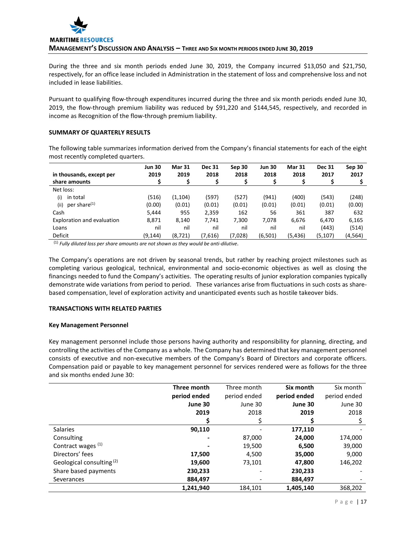During the three and six month periods ended June 30, 2019, the Company incurred \$13,050 and \$21,750, respectively, for an office lease included in Administration in the statement of loss and comprehensive loss and not included in lease liabilities.

Pursuant to qualifying flow-through expenditures incurred during the three and six month periods ended June 30, 2019, the flow-through premium liability was reduced by \$91,220 and \$144,545, respectively, and recorded in income as Recognition of the flow-through premium liability.

# **SUMMARY OF QUARTERLY RESULTS**

The following table summarizes information derived from the Company's financial statements for each of the eight most recently completed quarters.

|                                  | <b>Jun 30</b> | <b>Mar 31</b> | <b>Dec 31</b> | Sep 30  | <b>Jun 30</b> | <b>Mar 31</b> | <b>Dec 31</b> | Sep 30  |
|----------------------------------|---------------|---------------|---------------|---------|---------------|---------------|---------------|---------|
| in thousands, except per         | 2019          | 2019          | 2018          | 2018    | 2018          | 2018          | 2017          | 2017    |
| share amounts                    |               |               |               |         |               |               |               |         |
| Net loss:                        |               |               |               |         |               |               |               |         |
| in total<br>(i)                  | (516)         | (1, 104)      | (597)         | (527)   | (941)         | (400)         | (543)         | (248)   |
| per share <sup>(1)</sup><br>(ii) | (0.00)        | (0.01)        | (0.01)        | (0.01)  | (0.01)        | (0.01)        | (0.01)        | (0.00)  |
| Cash                             | 5.444         | 955           | 2,359         | 162     | 56            | 361           | 387           | 632     |
| Exploration and evaluation       | 8,871         | 8,140         | 7,741         | 7,300   | 7,078         | 6,676         | 6.470         | 6,165   |
| Loans                            | nil           | nil           | nil           | nil     | nil           | nil           | (443)         | (514)   |
| Deficit                          | (9, 144)      | (8, 721)      | (7,616)       | (7,028) | (6,501)       | (5, 436)      | (5, 107)      | (4,564) |

(1) *Fully diluted loss per share amounts are not shown as they would be anti-dilutive*.

The Company's operations are not driven by seasonal trends, but rather by reaching project milestones such as completing various geological, technical, environmental and socio-economic objectives as well as closing the financings needed to fund the Company's activities. The operating results of junior exploration companies typically demonstrate wide variations from period to period. These variances arise from fluctuations in such costs as sharebased compensation, level of exploration activity and unanticipated events such as hostile takeover bids.

# **TRANSACTIONS WITH RELATED PARTIES**

# **Key Management Personnel**

Key management personnel include those persons having authority and responsibility for planning, directing, and controlling the activities of the Company as a whole. The Company has determined that key management personnel consists of executive and non-executive members of the Company's Board of Directors and corporate officers. Compensation paid or payable to key management personnel for services rendered were as follows for the three and six months ended June 30:

|                                      | Three month  | Three month  | Six month    | Six month    |
|--------------------------------------|--------------|--------------|--------------|--------------|
|                                      | period ended | period ended | period ended | period ended |
|                                      | June 30      | June 30      | June 30      | June 30      |
|                                      | 2019         | 2018         | 2019         | 2018         |
|                                      |              |              |              |              |
| <b>Salaries</b>                      | 90,110       |              | 177,110      |              |
| Consulting                           |              | 87,000       | 24,000       | 174,000      |
| Contract wages <sup>(1)</sup>        |              | 19,500       | 6,500        | 39,000       |
| Directors' fees                      | 17,500       | 4,500        | 35,000       | 9,000        |
| Geological consulting <sup>(2)</sup> | 19,600       | 73,101       | 47,800       | 146,202      |
| Share based payments                 | 230,233      |              | 230,233      |              |
| Severances                           | 884,497      |              | 884,497      |              |
|                                      | 1,241,940    | 184,101      | 1,405,140    | 368.202      |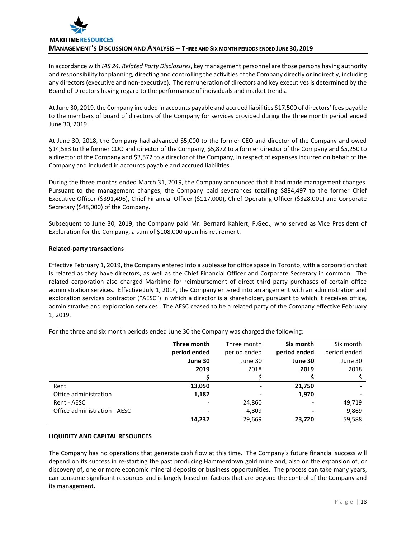

In accordance with *IAS 24, Related Party Disclosures*, key management personnel are those persons having authority and responsibility for planning, directing and controlling the activities of the Company directly or indirectly, including any directors (executive and non-executive). The remuneration of directors and key executives is determined by the Board of Directors having regard to the performance of individuals and market trends.

At June 30, 2019, the Company included in accounts payable and accrued liabilities \$17,500 of directors' fees payable to the members of board of directors of the Company for services provided during the three month period ended June 30, 2019.

At June 30, 2018, the Company had advanced \$5,000 to the former CEO and director of the Company and owed \$14,583 to the former COO and director of the Company, \$5,872 to a former director of the Company and \$5,250 to a director of the Company and \$3,572 to a director of the Company, in respect of expenses incurred on behalf of the Company and included in accounts payable and accrued liabilities.

During the three months ended March 31, 2019, the Company announced that it had made management changes. Pursuant to the management changes, the Company paid severances totalling \$884,497 to the former Chief Executive Officer (\$391,496), Chief Financial Officer (\$117,000), Chief Operating Officer (\$328,001) and Corporate Secretary (\$48,000) of the Company.

Subsequent to June 30, 2019, the Company paid Mr. Bernard Kahlert, P.Geo., who served as Vice President of Exploration for the Company, a sum of \$108,000 upon his retirement.

# **Related-party transactions**

Effective February 1, 2019, the Company entered into a sublease for office space in Toronto, with a corporation that is related as they have directors, as well as the Chief Financial Officer and Corporate Secretary in common. The related corporation also charged Maritime for reimbursement of direct third party purchases of certain office administration services. Effective July 1, 2014, the Company entered into arrangement with an administration and exploration services contractor ("AESC") in which a director is a shareholder, pursuant to which it receives office, administrative and exploration services. The AESC ceased to be a related party of the Company effective February 1, 2019.

|                              | Three month<br>period ended | Three month<br>period ended | Six month<br>period ended | Six month<br>period ended |
|------------------------------|-----------------------------|-----------------------------|---------------------------|---------------------------|
|                              | June 30                     | June 30                     | June 30                   | June 30                   |
|                              | 2019                        | 2018                        | 2019                      | 2018                      |
|                              |                             |                             |                           |                           |
| Rent                         | 13,050                      |                             | 21,750                    |                           |
| Office administration        | 1,182                       |                             | 1,970                     |                           |
| Rent - AESC                  |                             | 24,860                      |                           | 49,719                    |
| Office administration - AESC |                             | 4,809                       |                           | 9,869                     |
|                              | 14,232                      | 29,669                      | 23.720                    | 59,588                    |

For the three and six month periods ended June 30 the Company was charged the following:

# **LIQUIDITY AND CAPITAL RESOURCES**

The Company has no operations that generate cash flow at this time. The Company's future financial success will depend on its success in re-starting the past producing Hammerdown gold mine and, also on the expansion of, or discovery of, one or more economic mineral deposits or business opportunities. The process can take many years, can consume significant resources and is largely based on factors that are beyond the control of the Company and its management.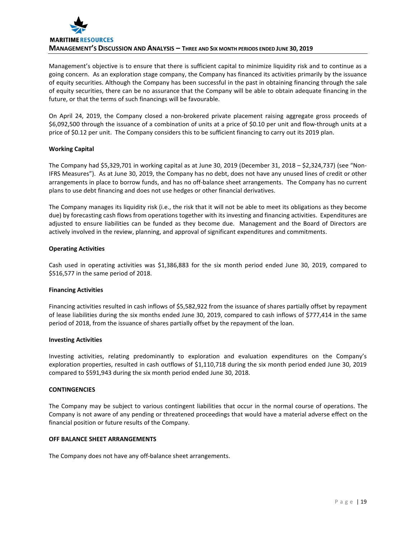

Management's objective is to ensure that there is sufficient capital to minimize liquidity risk and to continue as a going concern. As an exploration stage company, the Company has financed its activities primarily by the issuance of equity securities. Although the Company has been successful in the past in obtaining financing through the sale of equity securities, there can be no assurance that the Company will be able to obtain adequate financing in the future, or that the terms of such financings will be favourable.

On April 24, 2019, the Company closed a non-brokered private placement raising aggregate gross proceeds of \$6,092,500 through the issuance of a combination of units at a price of \$0.10 per unit and flow-through units at a price of \$0.12 per unit. The Company considers this to be sufficient financing to carry out its 2019 plan.

# **Working Capital**

The Company had \$5,329,701 in working capital as at June 30, 2019 (December 31, 2018 – \$2,324,737) (see "Non-IFRS Measures"). As at June 30, 2019, the Company has no debt, does not have any unused lines of credit or other arrangements in place to borrow funds, and has no off-balance sheet arrangements. The Company has no current plans to use debt financing and does not use hedges or other financial derivatives.

The Company manages its liquidity risk (i.e., the risk that it will not be able to meet its obligations as they become due) by forecasting cash flows from operations together with its investing and financing activities. Expenditures are adjusted to ensure liabilities can be funded as they become due. Management and the Board of Directors are actively involved in the review, planning, and approval of significant expenditures and commitments.

#### **Operating Activities**

Cash used in operating activities was \$1,386,883 for the six month period ended June 30, 2019, compared to \$516,577 in the same period of 2018.

#### **Financing Activities**

Financing activities resulted in cash inflows of \$5,582,922 from the issuance of shares partially offset by repayment of lease liabilities during the six months ended June 30, 2019, compared to cash inflows of \$777,414 in the same period of 2018, from the issuance of shares partially offset by the repayment of the loan.

#### **Investing Activities**

Investing activities, relating predominantly to exploration and evaluation expenditures on the Company's exploration properties, resulted in cash outflows of \$1,110,718 during the six month period ended June 30, 2019 compared to \$591,943 during the six month period ended June 30, 2018.

# **CONTINGENCIES**

The Company may be subject to various contingent liabilities that occur in the normal course of operations. The Company is not aware of any pending or threatened proceedings that would have a material adverse effect on the financial position or future results of the Company.

#### **OFF BALANCE SHEET ARRANGEMENTS**

The Company does not have any off-balance sheet arrangements.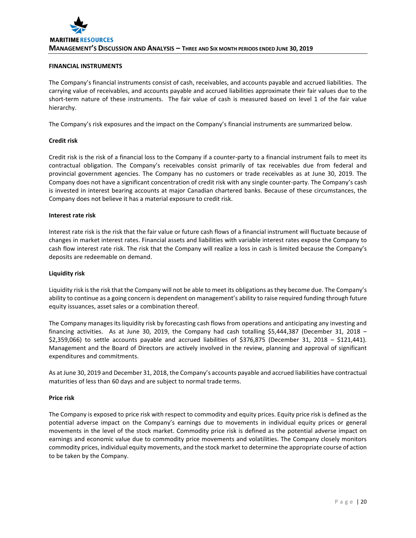# **FINANCIAL INSTRUMENTS**

The Company's financial instruments consist of cash, receivables, and accounts payable and accrued liabilities. The carrying value of receivables, and accounts payable and accrued liabilities approximate their fair values due to the short-term nature of these instruments. The fair value of cash is measured based on level 1 of the fair value hierarchy.

The Company's risk exposures and the impact on the Company's financial instruments are summarized below.

# **Credit risk**

Credit risk is the risk of a financial loss to the Company if a counter-party to a financial instrument fails to meet its contractual obligation. The Company's receivables consist primarily of tax receivables due from federal and provincial government agencies. The Company has no customers or trade receivables as at June 30, 2019. The Company does not have a significant concentration of credit risk with any single counter-party. The Company's cash is invested in interest bearing accounts at major Canadian chartered banks. Because of these circumstances, the Company does not believe it has a material exposure to credit risk.

# **Interest rate risk**

Interest rate risk is the risk that the fair value or future cash flows of a financial instrument will fluctuate because of changes in market interest rates. Financial assets and liabilities with variable interest rates expose the Company to cash flow interest rate risk. The risk that the Company will realize a loss in cash is limited because the Company's deposits are redeemable on demand.

# **Liquidity risk**

Liquidity risk is the risk that the Company will not be able to meet its obligations as they become due. The Company's ability to continue as a going concern is dependent on management's ability to raise required funding through future equity issuances, asset sales or a combination thereof.

The Company manages its liquidity risk by forecasting cash flows from operations and anticipating any investing and financing activities. As at June 30, 2019, the Company had cash totalling \$5,444,387 (December 31, 2018 – \$2,359,066) to settle accounts payable and accrued liabilities of \$376,875 (December 31, 2018 – \$121,441). Management and the Board of Directors are actively involved in the review, planning and approval of significant expenditures and commitments.

As at June 30, 2019 and December 31, 2018, the Company's accounts payable and accrued liabilities have contractual maturities of less than 60 days and are subject to normal trade terms.

# **Price risk**

The Company is exposed to price risk with respect to commodity and equity prices. Equity price risk is defined as the potential adverse impact on the Company's earnings due to movements in individual equity prices or general movements in the level of the stock market. Commodity price risk is defined as the potential adverse impact on earnings and economic value due to commodity price movements and volatilities. The Company closely monitors commodity prices, individual equity movements, and the stock market to determine the appropriate course of action to be taken by the Company.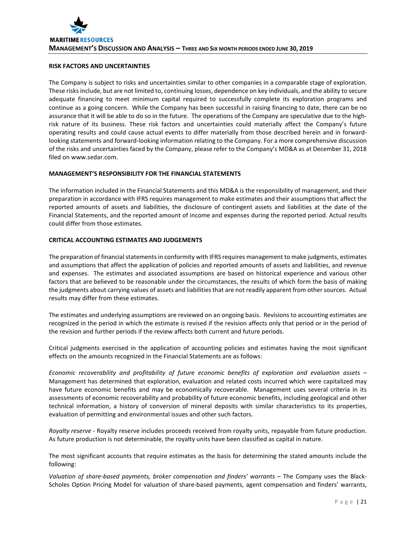# **RISK FACTORS AND UNCERTAINTIES**

The Company is subject to risks and uncertainties similar to other companies in a comparable stage of exploration. These risks include, but are not limited to, continuing losses, dependence on key individuals, and the ability to secure adequate financing to meet minimum capital required to successfully complete its exploration programs and continue as a going concern. While the Company has been successful in raising financing to date, there can be no assurance that it will be able to do so in the future. The operations of the Company are speculative due to the highrisk nature of its business. These risk factors and uncertainties could materially affect the Company's future operating results and could cause actual events to differ materially from those described herein and in forwardlooking statements and forward-looking information relating to the Company. For a more comprehensive discussion of the risks and uncertainties faced by the Company, please refer to the Company's MD&A as at December 31, 2018 filed on www.sedar.com.

# **MANAGEMENT'S RESPONSIBILITY FOR THE FINANCIAL STATEMENTS**

The information included in the Financial Statements and this MD&A is the responsibility of management, and their preparation in accordance with IFRS requires management to make estimates and their assumptions that affect the reported amounts of assets and liabilities, the disclosure of contingent assets and liabilities at the date of the Financial Statements, and the reported amount of income and expenses during the reported period. Actual results could differ from those estimates.

#### **CRITICAL ACCOUNTING ESTIMATES AND JUDGEMENTS**

The preparation of financial statements in conformity with IFRS requires management to make judgments, estimates and assumptions that affect the application of policies and reported amounts of assets and liabilities, and revenue and expenses. The estimates and associated assumptions are based on historical experience and various other factors that are believed to be reasonable under the circumstances, the results of which form the basis of making the judgments about carrying values of assets and liabilities that are not readily apparent from other sources. Actual results may differ from these estimates.

The estimates and underlying assumptions are reviewed on an ongoing basis. Revisions to accounting estimates are recognized in the period in which the estimate is revised if the revision affects only that period or in the period of the revision and further periods if the review affects both current and future periods.

Critical judgments exercised in the application of accounting policies and estimates having the most significant effects on the amounts recognized in the Financial Statements are as follows:

*Economic recoverability and profitability of future economic benefits of exploration and evaluation assets* – Management has determined that exploration, evaluation and related costs incurred which were capitalized may have future economic benefits and may be economically recoverable. Management uses several criteria in its assessments of economic recoverability and probability of future economic benefits, including geological and other technical information, a history of conversion of mineral deposits with similar characteristics to its properties, evaluation of permitting and environmental issues and other such factors.

*Royalty reserve* - Royalty reserve includes proceeds received from royalty units, repayable from future production. As future production is not determinable, the royalty units have been classified as capital in nature.

The most significant accounts that require estimates as the basis for determining the stated amounts include the following:

*Valuation of share-based payments, broker compensation and finders' warrants* – The Company uses the Black-Scholes Option Pricing Model for valuation of share-based payments, agent compensation and finders' warrants,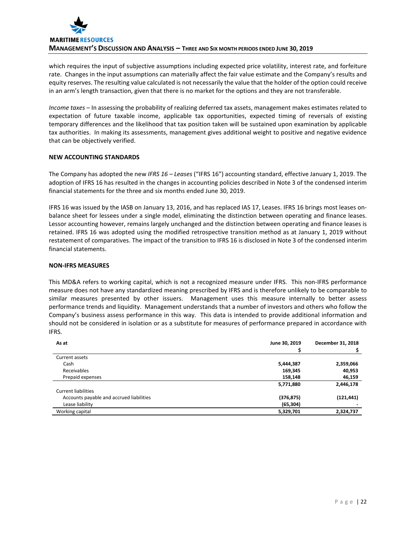

which requires the input of subjective assumptions including expected price volatility, interest rate, and forfeiture rate. Changes in the input assumptions can materially affect the fair value estimate and the Company's results and equity reserves. The resulting value calculated is not necessarily the value that the holder of the option could receive in an arm's length transaction, given that there is no market for the options and they are not transferable.

*Income taxes* – In assessing the probability of realizing deferred tax assets, management makes estimates related to expectation of future taxable income, applicable tax opportunities, expected timing of reversals of existing temporary differences and the likelihood that tax position taken will be sustained upon examination by applicable tax authorities. In making its assessments, management gives additional weight to positive and negative evidence that can be objectively verified.

# **NEW ACCOUNTING STANDARDS**

The Company has adopted the new *IFRS 16 – Leases* ("IFRS 16") accounting standard, effective January 1, 2019. The adoption of IFRS 16 has resulted in the changes in accounting policies described in Note 3 of the condensed interim financial statements for the three and six months ended June 30, 2019.

IFRS 16 was issued by the IASB on January 13, 2016, and has replaced IAS 17, Leases. IFRS 16 brings most leases onbalance sheet for lessees under a single model, eliminating the distinction between operating and finance leases. Lessor accounting however, remains largely unchanged and the distinction between operating and finance leases is retained. IFRS 16 was adopted using the modified retrospective transition method as at January 1, 2019 without restatement of comparatives. The impact of the transition to IFRS 16 is disclosed in Note 3 of the condensed interim financial statements.

# **NON-IFRS MEASURES**

This MD&A refers to working capital, which is not a recognized measure under IFRS. This non-IFRS performance measure does not have any standardized meaning prescribed by IFRS and is therefore unlikely to be comparable to similar measures presented by other issuers. Management uses this measure internally to better assess performance trends and liquidity. Management understands that a number of investors and others who follow the Company's business assess performance in this way. This data is intended to provide additional information and should not be considered in isolation or as a substitute for measures of performance prepared in accordance with IFRS.

| As at                                    | June 30, 2019 | December 31, 2018 |
|------------------------------------------|---------------|-------------------|
|                                          |               |                   |
| Current assets                           |               |                   |
| Cash                                     | 5,444,387     | 2,359,066         |
| Receivables                              | 169,345       | 40,953            |
| Prepaid expenses                         | 158,148       | 46,159            |
|                                          | 5,771,880     | 2,446,178         |
| <b>Current liabilities</b>               |               |                   |
| Accounts payable and accrued liabilities | (376, 875)    | (121, 441)        |
| Lease liability                          | (65, 304)     |                   |
| Working capital                          | 5,329,701     | 2,324,737         |
|                                          |               |                   |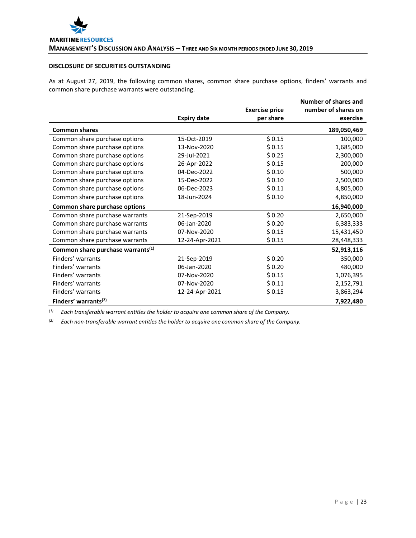# **DISCLOSURE OF SECURITIES OUTSTANDING**

As at August 27, 2019, the following common shares, common share purchase options, finders' warrants and common share purchase warrants were outstanding.

|                                               |                    |                       | Number of shares and |
|-----------------------------------------------|--------------------|-----------------------|----------------------|
|                                               |                    | <b>Exercise price</b> | number of shares on  |
|                                               | <b>Expiry date</b> | per share             | exercise             |
| <b>Common shares</b>                          |                    |                       | 189,050,469          |
| Common share purchase options                 | 15-Oct-2019        | \$0.15                | 100,000              |
| Common share purchase options                 | 13-Nov-2020        | \$0.15                | 1,685,000            |
| Common share purchase options                 | 29-Jul-2021        | \$0.25                | 2,300,000            |
| Common share purchase options                 | 26-Apr-2022        | \$0.15                | 200,000              |
| Common share purchase options                 | 04-Dec-2022        | \$0.10                | 500,000              |
| Common share purchase options                 | 15-Dec-2022        | \$0.10                | 2,500,000            |
| Common share purchase options                 | 06-Dec-2023        | \$0.11                | 4,805,000            |
| Common share purchase options                 | 18-Jun-2024        | \$0.10                | 4,850,000            |
| Common share purchase options                 |                    |                       | 16,940,000           |
| Common share purchase warrants                | 21-Sep-2019        | \$0.20                | 2,650,000            |
| Common share purchase warrants                | 06-Jan-2020        | \$0.20                | 6,383,333            |
| Common share purchase warrants                | 07-Nov-2020        | \$0.15                | 15,431,450           |
| Common share purchase warrants                | 12-24-Apr-2021     | \$0.15                | 28,448,333           |
| Common share purchase warrants <sup>(1)</sup> |                    |                       | 52,913,116           |
| Finders' warrants                             | 21-Sep-2019        | \$0.20                | 350,000              |
| Finders' warrants                             | 06-Jan-2020        | \$0.20                | 480,000              |
| Finders' warrants                             | 07-Nov-2020        | \$0.15                | 1,076,395            |
| Finders' warrants                             | 07-Nov-2020        | \$0.11                | 2,152,791            |
| Finders' warrants                             | 12-24-Apr-2021     | \$0.15                | 3,863,294            |
| Finders' warrants <sup>(2)</sup>              |                    |                       | 7,922,480            |

*(1) Each transferable warrant entitles the holder to acquire one common share of the Company.*

*(2) Each non-transferable warrant entitles the holder to acquire one common share of the Company.*